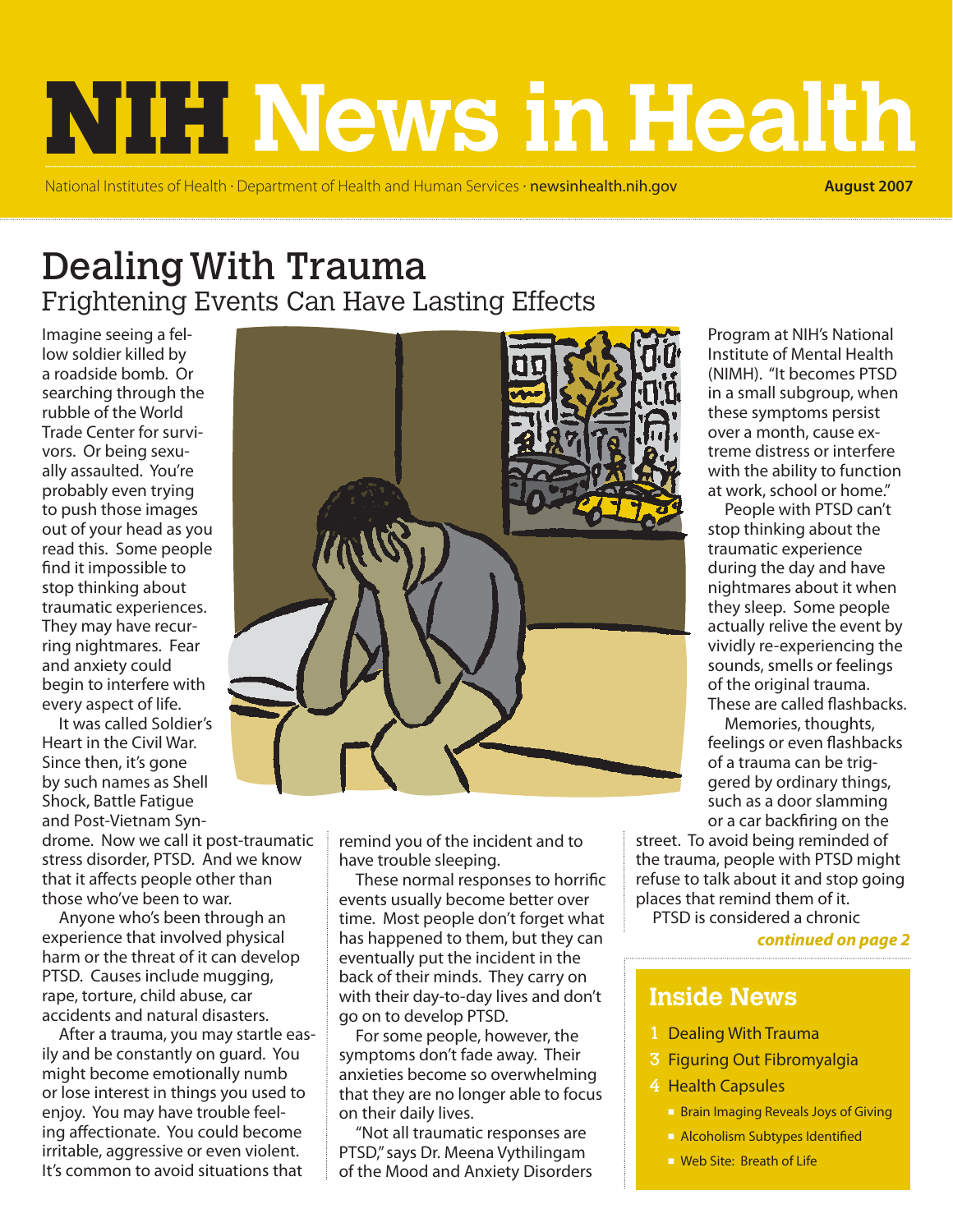# **NIFI News in Health**

National Institutes of Health • Department of Health and Human Services • newsinhealth.nih.gov **August 2007**

### Dealing With Trauma Frightening Events Can Have Lasting Effects

Imagine seeing a fellow soldier killed by a roadside bomb. Or searching through the rubble of the World Trade Center for survivors. Or being sexually assaulted. You're probably even trying to push those images out of your head as you read this. Some people find it impossible to stop thinking about traumatic experiences. They may have recurring nightmares. Fear and anxiety could begin to interfere with every aspect of life.

It was called Soldier's Heart in the Civil War. Since then, it's gone by such names as Shell Shock, Battle Fatigue and Post-Vietnam Syn-

drome. Now we call it post-traumatic stress disorder, PTSD. And we know that it affects people other than those who've been to war.

Anyone who's been through an experience that involved physical harm or the threat of it can develop PTSD. Causes include mugging, rape, torture, child abuse, car accidents and natural disasters.

After a trauma, you may startle easily and be constantly on guard. You might become emotionally numb or lose interest in things you used to enjoy. You may have trouble feeling affectionate. You could become irritable, aggressive or even violent. It's common to avoid situations that



remind you of the incident and to have trouble sleeping.

These normal responses to horrific events usually become better over time. Most people don't forget what has happened to them, but they can eventually put the incident in the back of their minds. They carry on with their day-to-day lives and don't go on to develop PTSD.

For some people, however, the symptoms don't fade away. Their anxieties become so overwhelming that they are no longer able to focus on their daily lives.

"Not all traumatic responses are PTSD," says Dr. Meena Vythilingam of the Mood and Anxiety Disorders Program at NIH's National Institute of Mental Health (NIMH). "It becomes PTSD in a small subgroup, when these symptoms persist over a month, cause extreme distress or interfere with the ability to function at work, school or home."

People with PTSD can't stop thinking about the traumatic experience during the day and have nightmares about it when they sleep. Some people actually relive the event by vividly re-experiencing the sounds, smells or feelings of the original trauma. These are called flashbacks. Memories, thoughts, feelings or even flashbacks of a trauma can be trig-

gered by ordinary things, such as a door slamming or a car backfiring on the

street. To avoid being reminded of the trauma, people with PTSD might refuse to talk about it and stop going places that remind them of it. PTSD is considered a chronic

*continued on page 2*

### **Inside News**

- 1 Dealing With Trauma
- 3 Figuring Out Fibromyalgia
- 4 Health Capsules
	- **n** Brain Imaging Reveals Joys of Giving
	- <sup>n</sup> Alcoholism Subtypes Identified
	- **n** Web Site: Breath of Life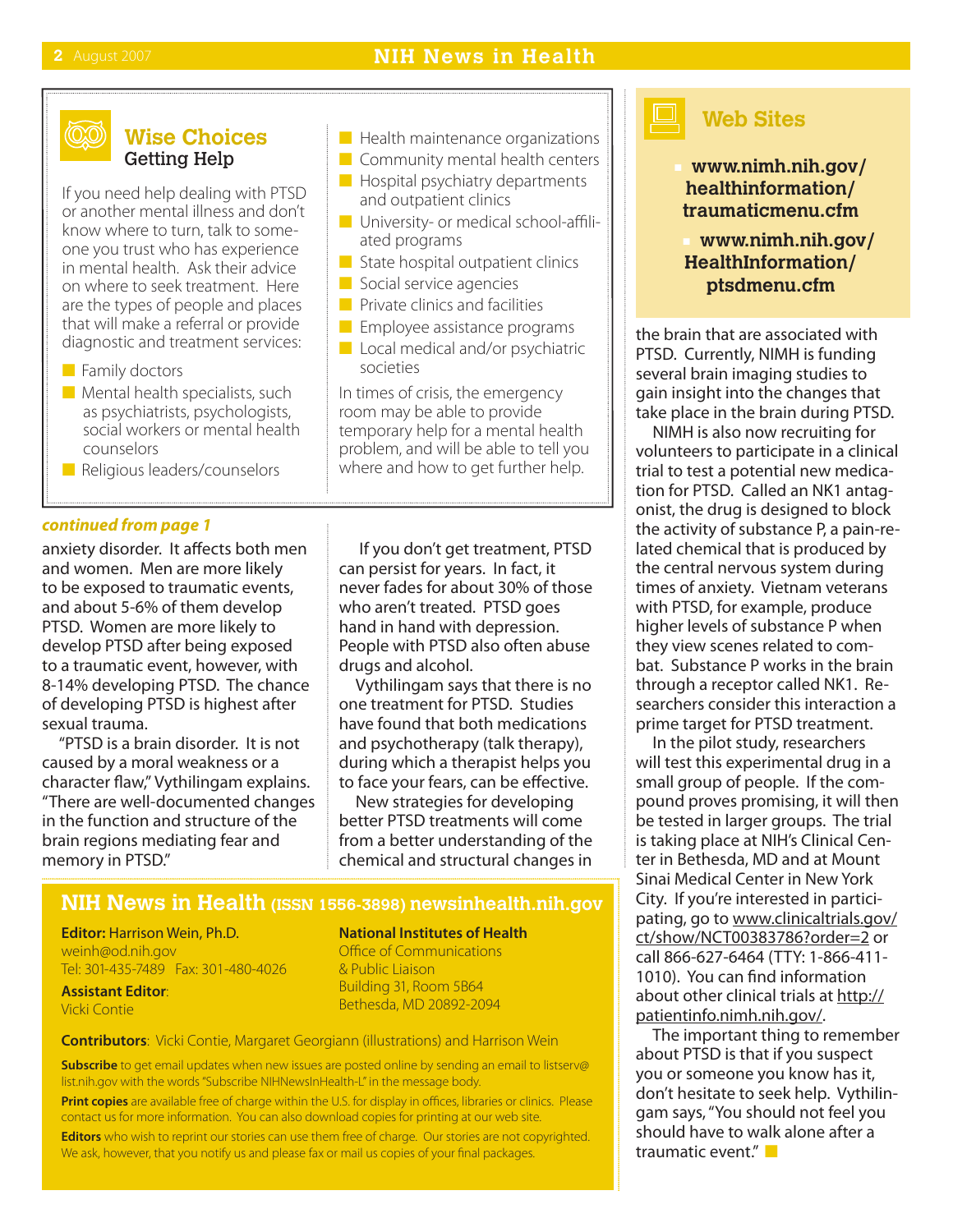#### **NIH News in Health**

### **Wise Choices** Getting Help

If you need help dealing with PTSD or another mental illness and don't know where to turn, talk to someone you trust who has experience in mental health. Ask their advice on where to seek treatment. Here are the types of people and places that will make a referral or provide diagnostic and treatment services:

- $\blacksquare$  Family doctors
- $\blacksquare$  Mental health specialists, such as psychiatrists, psychologists, social workers or mental health counselors
- **n** Religious leaders/counselors

#### *continued from page 1*

anxiety disorder. It affects both men and women. Men are more likely to be exposed to traumatic events, and about 5-6% of them develop PTSD. Women are more likely to develop PTSD after being exposed to a traumatic event, however, with 8-14% developing PTSD. The chance of developing PTSD is highest after sexual trauma.

"PTSD is a brain disorder. It is not caused by a moral weakness or a character flaw," Vythilingam explains. "There are well-documented changes in the function and structure of the brain regions mediating fear and memory in PTSD."

 $\blacksquare$  Health maintenance organizations

- $\blacksquare$  Community mental health centers
- $\blacksquare$  Hospital psychiatry departments and outpatient clinics
- $\blacksquare$  University- or medical school-affiliated programs
- $\blacksquare$  State hospital outpatient clinics
- $\blacksquare$  Social service agencies
- $\blacksquare$  Private clinics and facilities
- $\blacksquare$  Employee assistance programs
- $\blacksquare$  Local medical and/or psychiatric societies

In times of crisis, the emergency room may be able to provide temporary help for a mental health problem, and will be able to tell you where and how to get further help.

 If you don't get treatment, PTSD can persist for years. In fact, it never fades for about 30% of those who aren't treated. PTSD goes hand in hand with depression. People with PTSD also often abuse drugs and alcohol.

Vythilingam says that there is no one treatment for PTSD. Studies have found that both medications and psychotherapy (talk therapy), during which a therapist helps you to face your fears, can be effective.

New strategies for developing better PTSD treatments will come from a better understanding of the chemical and structural changes in

#### **NIH News in Health (ISSN 1556-3898) newsinhealth.nih.gov**

**Editor:** Harrison Wein, Ph.D. weinh@od.nih.gov Tel: 301-435-7489 Fax: 301-480-4026

**Assistant Editor**: Vicki Contie

#### **National Institutes of Health**

Office of Communications & Public Liaison Building 31, Room 5B64 Bethesda, MD 20892-2094

**Contributors**: Vicki Contie, Margaret Georgiann (illustrations) and Harrison Wein

**Subscribe** to get email updates when new issues are posted online by sending an email to listserv@ list.nih.gov with the words "Subscribe NIHNewsInHealth-L" in the message body.

**Print copies** are available free of charge within the U.S. for display in offices, libraries or clinics. Please contact us for more information. You can also download copies for printing at our web site.

**Editors** who wish to reprint our stories can use them free of charge. Our stories are not copyrighted. We ask, however, that you notify us and please fax or mail us copies of your final packages.

### **Web Sites**

n **www.nimh.nih.gov/ healthinformation/ traumaticmenu.cfm**

### n **www.nimh.nih.gov/ HealthInformation/ ptsdmenu.cfm**

the brain that are associated with PTSD. Currently, NIMH is funding several brain imaging studies to gain insight into the changes that take place in the brain during PTSD.

NIMH is also now recruiting for volunteers to participate in a clinical trial to test a potential new medication for PTSD. Called an NK1 antagonist, the drug is designed to block the activity of substance P, a pain-related chemical that is produced by the central nervous system during times of anxiety. Vietnam veterans with PTSD, for example, produce higher levels of substance P when they view scenes related to combat. Substance P works in the brain through a receptor called NK1. Researchers consider this interaction a prime target for PTSD treatment.

In the pilot study, researchers will test this experimental drug in a small group of people. If the compound proves promising, it will then be tested in larger groups. The trial is taking place at NIH's Clinical Center in Bethesda, MD and at Mount Sinai Medical Center in New York City. If you're interested in participating, go to www.clinicaltrials.gov/ ct/show/NCT00383786?order=2 or call 866-627-6464 (TTY: 1-866-411- 1010). You can find information about other clinical trials at http:// patientinfo.nimh.nih.gov/.

The important thing to remember about PTSD is that if you suspect you or someone you know has it, don't hesitate to seek help. Vythilingam says, "You should not feel you should have to walk alone after a traumatic event. $"$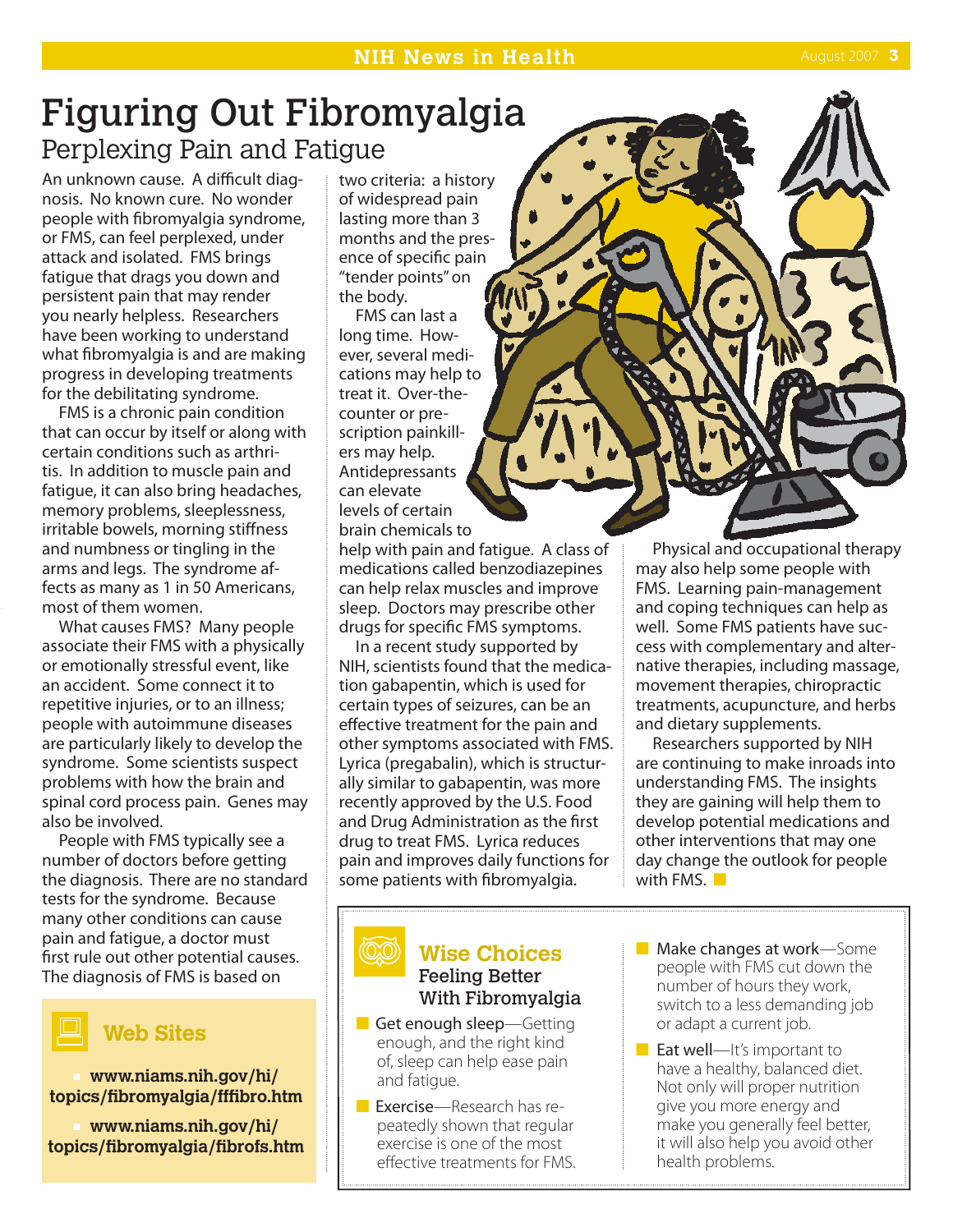### Figuring Out Fibromyalgia Perplexing Pain and Fatigue

An unknown cause. A difficult diagnosis. No known cure. No wonder people with fibromyalgia syndrome, or FMS, can feel perplexed, under attack and isolated. FMS brings fatigue that drags you down and persistent pain that may render you nearly helpless. Researchers have been working to understand what fibromyalgia is and are making progress in developing treatments for the debilitating syndrome.

FMS is a chronic pain condition that can occur by itself or along with certain conditions such as arthritis. In addition to muscle pain and fatigue, it can also bring headaches, memory problems, sleeplessness, irritable bowels, morning stiffness and numbness or tingling in the arms and legs. The syndrome affects as many as 1 in 50 Americans, most of them women.

What causes FMS? Many people associate their FMS with a physically or emotionally stressful event, like an accident. Some connect it to repetitive injuries, or to an illness; people with autoimmune diseases are particularly likely to develop the syndrome. Some scientists suspect problems with how the brain and spinal cord process pain. Genes may also be involved.

People with FMS typically see a number of doctors before getting the diagnosis. There are no standard tests for the syndrome. Because many other conditions can cause pain and fatigue, a doctor must first rule out other potential causes. The diagnosis of FMS is based on

**Web Sites**

n **www.niams.nih.gov/hi/ topics/fibromyalgia/fffibro.htm**

n **www.niams.nih.gov/hi/ topics/fibromyalgia/fibrofs.htm** two criteria: a history of widespread pain lasting more than 3 months and the presence of specific pain "tender points" on the body.

FMS can last a long time. However, several medications may help to treat it. Over-thecounter or prescription painkillers may help. Antidepressants can elevate levels of certain brain chemicals to

help with pain and fatigue. A class of medications called benzodiazepines can help relax muscles and improve sleep. Doctors may prescribe other drugs for specific FMS symptoms.

In a recent study supported by NIH, scientists found that the medication gabapentin, which is used for certain types of seizures, can be an effective treatment for the pain and other symptoms associated with FMS. Lyrica (pregabalin), which is structurally similar to gabapentin, was more recently approved by the U.S. Food and Drug Administration as the first drug to treat FMS. Lyrica reduces pain and improves daily functions for some patients with fibromyalgia.

Physical and occupational therapy may also help some people with FMS. Learning pain-management and coping techniques can help as well. Some FMS patients have success with complementary and alternative therapies, including massage, movement therapies, chiropractic treatments, acupuncture, and herbs and dietary supplements.

Researchers supported by NIH are continuing to make inroads into understanding FMS. The insights they are gaining will help them to develop potential medications and other interventions that may one day change the outlook for people with FMS.  $\blacksquare$ 

### **Wise Choices** Feeling Better With Fibromyalgia

- $\blacksquare$  Get enough sleep—Getting enough, and the right kind of, sleep can help ease pain and fatigue.
- **Exercise**—Research has repeatedly shown that regular exercise is one of the most effective treatments for FMS.
- $\blacksquare$  Make changes at work—Some people with FMS cut down the number of hours they work, switch to a less demanding job or adapt a current job.
- $\blacksquare$  Eat well—It's important to have a healthy, balanced diet. Not only will proper nutrition give you more energy and make you generally feel better, it will also help you avoid other health problems.